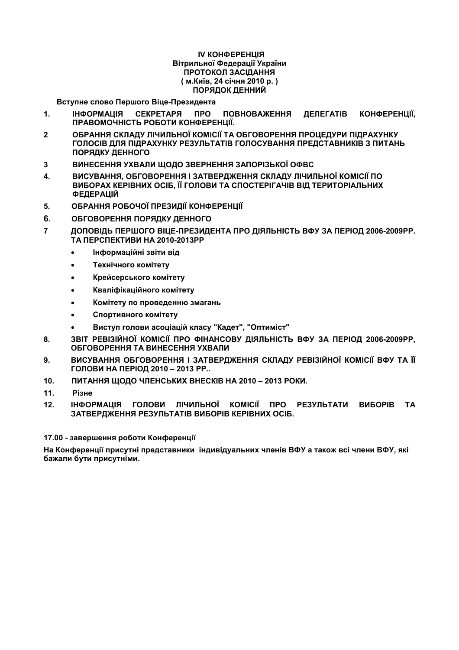#### ІV КОНФЕРЕНЦІЯ Вітрильної Федерації України ПРОТОКОЛ ЗАСІДАННЯ **( %.', 24 +,- 2010 . ) ПОРЯДОК ДЕННИЙ**

**Вступне слово Першого Віце-Президента** 

- 1. **IHOOPMALIIS** СЕКРЕТАРЯ ПРО ПОВНОВАЖЕННЯ ДЕЛЕГАТІВ **КОНФЕРЕНЦІЇ,** ПРАВОМОЧНІСТЬ РОБОТИ КОНФЕРЕНЦІЇ.
- **2 ? ! "!# =1>< 9"< ! ?;
  # 1 # !@** ГОЛОСІВ ДЛЯ ПІДРАХУНКУ РЕЗУЛЬТАТІВ ГОЛОСУВАННЯ ПРЕДСТАВНИКІВ З ПИТАНЬ **ПОРЯДКУ ДЕННОГО**
- 3 ВИНЕСЕННЯ УХВАЛИ ЩОДО ЗВЕРНЕННЯ ЗАПОРІЗЬКОЇ ОФВС
- 4. ВИСУВАННЯ, ОБГОВОРЕННЯ І ЗАТВЕРДЖЕННЯ СКЛАДУ ЛІЧИЛЬНОЇ КОМІСІЇ ПО **ВИБОРАХ КЕРІВНИХ ОСІБ, ЇЇ ГОЛОВИ ТА СПОСТЕРІГАЧІВ ВІД ТЕРИТОРІАЛЬНИХ** ФЕДЕРАЦІЙ
- 5. ОБРАННЯ РОБОЧОЇ ПРЕЗИДІЇ КОНФЕРЕНЦІЇ
- **6. ОБГОВОРЕННЯ ПОРЯДКУ ДЕННОГО**
- 7 ДОПОВІДЬ ПЕРШОГО ВІЦЕ-ПРЕЗИДЕНТА ПРО ДІЯЛЬНІСТЬ ВФУ ЗА ПЕРІОД 2006-2009РР. **ТА ПЕРСПЕКТИВИ НА 2010-2013РР** 
	- **Нформаційні звіти від**
	- **Технічного комітету**
	- **Крейсерського комітету**
	- **Кваліфікаційного комітету**
	- **Комітету по проведенню змагань**
	- **Спортивного комітету**
	- Виступ голови асоціацій класу "Кадет", "Оптиміст"
- 8. **3BIT РЕВІЗІЙНОЇ КОМІСІЇ ПРО ФІНАНСОВУ ДІЯЛЬНІСТЬ ВФУ ЗА ПЕРІОД 2006-2009РР. ОБГОВОРЕННЯ ТА ВИНЕСЕННЯ УХВАЛИ**
- 9. ВИСУВАННЯ ОБГОВОРЕННЯ І ЗАТВЕРДЖЕННЯ СКЛАДУ РЕВІЗІЙНОЇ КОМІСІЇ ВФУ ТА ЇЇ  $\Gamma$  **ОЛОВИ НА ПЕРІОД 2010 – 2013 РР..**
- 10. ПИТАННЯ ЩОДО ЧЛЕНСЬКИХ ВНЕСКІВ НА 2010 2013 РОКИ.
- 11. Різне
- 12. **IHOOPMALIIS ГОЛОВИ ЛІЧИЛЬНОЇ КОМІСІЇ ПРО РЕЗУЛЬТАТИ ВИБОРІВ ТА ЗАТВЕРДЖЕННЯ РЕЗУЛЬТАТІВ ВИБОРІВ КЕРІВНИХ ОСІБ.**

#### $17.00 - 3a$ вершення роботи Конференції

На Конференції присутні представники індивідуальних членів ВФУ а також всі члени ВФУ, які **бажали бути присутніми.**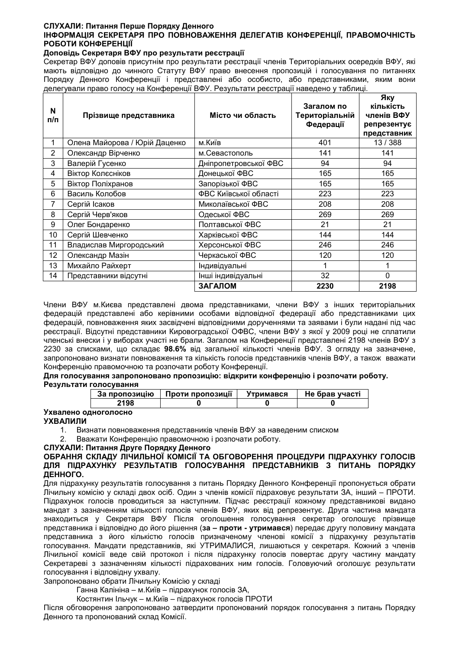## СЛУХАЛИ: Питання Перше Порядку Денного

## ІНФОРМАЦІЯ СЕКРЕТАРЯ ПРО ПОВНОВАЖЕННЯ ДЕЛЕГАТІВ КОНФЕРЕНЦІЇ, ПРАВОМОЧНІСТЬ РОБОТИ КОНФЕРЕНЦІЇ

#### Доповідь Секретаря ВФУ про результати реєстрації

Секретар ВФУ доповів присутнім про результати реєстрації членів Територіальних осередків ВФУ, які мають відповідно до чинного Статуту ВФУ право внесення пропозицій і голосування по питаннях Порядку Денного Конференції і представлені або особисто, або представниками, яким вони делегували право голосу на Конференції ВФУ. Результати реєстрації наведено у таблиці.

| N<br>п/п       | Прізвище представника         | Місто чи область      | Загалом по<br>Територіальній<br>Федерації | Яку<br>кількість<br>членів ВФУ<br>репрезентує<br>представник |
|----------------|-------------------------------|-----------------------|-------------------------------------------|--------------------------------------------------------------|
| 1              | Олена Майорова / Юрій Даценко | м.Київ                | 401                                       | 13 / 388                                                     |
| $\overline{2}$ | Олександр Вірченко            | м.Севастополь         | 141                                       | 141                                                          |
| 3              | Валерій Гусенко               | Дніпропетровської ФВС | 94                                        | 94                                                           |
| $\overline{4}$ | Віктор Колєсніков             | Донецької ФВС         | 165                                       | 165                                                          |
| 5              | Віктор Поліхранов             | Запорізької ФВС       | 165                                       | 165                                                          |
| 6              | Василь Колобов                | ФВС Київської області | 223                                       | 223                                                          |
| $\overline{7}$ | Сергій Ісаков                 | Миколаївської ФВС     | 208                                       | 208                                                          |
| 8              | Сергій Черв'яков              | Одеської ФВС          | 269                                       | 269                                                          |
| 9              | Олег Бондаренко               | Полтавської ФВС       | 21                                        | 21                                                           |
| 10             | Сергій Шевченко               | Харківської ФВС       | 144                                       | 144                                                          |
| 11             | Владислав Миргородський       | Херсонської ФВС       | 246                                       | 246                                                          |
| 12             | Олександр Мазін               | Черкаської ФВС        | 120                                       | 120                                                          |
| 13             | Михайло Райхерт               | Індивідуальні         |                                           |                                                              |
| 14             | Представники відсутні         | Інші індивідуальні    | 32                                        | $\Omega$                                                     |
|                |                               | ЗАГАЛОМ               | 2230                                      | 2198                                                         |

Члени ВФУ м. Києва представлені двома представниками, члени ВФУ з інших територіальних федерацій представлені або керівними особами відповідної федерації або представниками цих федерацій, повноваження яких засвідчені відповідними дорученнями та заявами і були надані під час реєстрації. Відсутні представники Кировоградської ОФВС, члени ВФУ з якої у 2009 році не сплатили членські внески і у виборах участі не брали. Загалом на Конференції представлені 2198 членів ВФУ з 2230 за списками, що складає 98.6% від загальної кількості членів ВФУ. З огляду на зазначене, запропоновано визнати повноваження та кількість голосів представників членів ВФУ, а також вважати Конференцію правомочною та розпочати роботу Конференції.

#### Для голосування запропоновано пропозицію: відкрити конференцію і розпочати роботу. Результати голосування

| За пропозицію | Проти пропозиції | Утримався | Не брав участі |  |
|---------------|------------------|-----------|----------------|--|
| 2198          |                  |           |                |  |

# Ухвалено одноголосно

## **УХВАЛИЛИ**

- 1. Визнати повноваження представників членів ВФУ за наведеним списком
- Вважати Конференцію правомочною і розпочати роботу.  $2.$

## СЛУХАЛИ: Питання Друге Порядку Денного

#### ОБРАННЯ СКЛАДУ ЛІЧИЛЬНОЇ КОМІСІЇ ТА ОБГОВОРЕННЯ ПРОЦЕДУРИ ПІДРАХУНКУ ГОЛОСІВ ДЛЯ ПІДРАХУНКУ РЕЗУЛЬТАТІВ ГОЛОСУВАННЯ ПРЕДСТАВНИКІВ З ПИТАНЬ ПОРЯДКУ ДЕННОГО.

Для підрахунку результатів голосування з питань Порядку Денного Конференції пропонується обрати Лічильну комісію у складі двох осіб. Один з членів комісії підраховує результати ЗА, інший - ПРОТИ. Підрахунок голосів проводиться за наступним. Підчас реєстрації кожному представникові видано мандат з зазначенням кількості голосів членів ВФУ, яких від репрезентує. Друга частина мандата знаходиться у Секретаря ВФУ Після оголошення голосування секретар оголошує прізвище представника і відповідно до його рішення (за - проти - утримався) передає другу половину мандата представника з його кількістю голосів призначеному членові комісії з підрахунку результатів<br>голосування Мандати представників, які УТРИМАЛИСЯ, лишаються у секретаря Кожний з членів Лічильної комісії веде свій протокол і після підрахунку голосів повертає другу частину мандату Секретареві з зазначенням кількості підрахованих ним голосів. Головуючий оголошує результати голосування і відповідну ухвалу.

Запропоновано обрати Лічильну Комісію у складі

Ганна Калініна - м. Київ - підрахунок голосів ЗА,

Костянтин Ільчук - м. Київ - підрахунок голосів ПРОТИ

Після обговорення запропоновано затвердити пропонований порядок голосування з питань Порядку Денного та пропонований склад Комісії.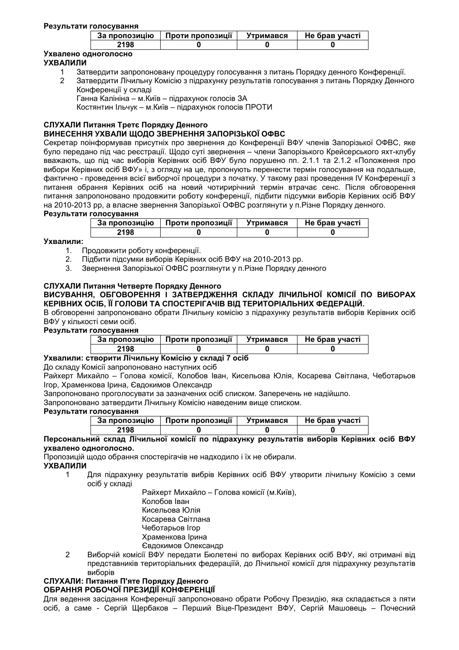#### Результати голосування

| За пропозицію | Проти пропозиції | Утримався | Не брав участі |
|---------------|------------------|-----------|----------------|
| 2198          |                  |           |                |

# Ухвалено одноголосно

## **УХВАЛИЛИ**

- $\overline{1}$ Затвердити запропоновану процедуру голосування з питань Порядку денного Конференції.
- Затвердити Лічильну Комісію з підрахунку результатів голосування з питань Порядку Денного  $\overline{2}$ Конференції у складі

Ганна Калініна - м. Київ - підрахунок голосів ЗА

Костянтин Ільчук - м. Київ - підрахунок голосів ПРОТИ

# СЛУХАЛИ Питання Третє Порядку Денного

## ВИНЕСЕННЯ УХВАЛИ ЩОДО ЗВЕРНЕННЯ ЗАПОРІЗЬКОЇ ОФВС

Секретар поінформував присутніх про звернення до Конференції ВФУ членів Запорізької ОФВС, яке було передано під час реєстрації. Щодо суті звернення - члени Запорізького Крейсерського яхт-клубу вважають, що під час виборів Керівних осіб ВФУ було порушено пп. 2.1.1 та 2.1.2 «Положення про вибори Керівних осіб ВФУ» і, з огляду на це, пропонують перенести термін голосування на подальше. фактично - проведення всієї виборчої процедури з початку. У такому разі проведення IV Конференції з питання обрання Керівних осіб на новий чотирирічний термін втрачає сенс. Після обговорення питання запропоновано продовжити роботу конференції, підбити підсумки виборів Керівних осіб ВФУ на 2010-2013 рр. а власне звернення Запорізької ОФВС розглянути у п. Різне Порядку денного.

#### Результати голосування

| За пропозицію | Проти пропозиції | Утримався | Не брав участі |  |
|---------------|------------------|-----------|----------------|--|
| 2198          |                  |           |                |  |

## Ухвалили:

- 1. Продовжити роботу конференції.
- Підбити підсумки виборів Керівних осіб ВФУ на 2010-2013 рр.  $2<sub>1</sub>$
- Звернення Запорізької ОФВС розглянути у п. Різне Порядку денного  $3<sub>1</sub>$

# СЛУХАЛИ Питання Четверте Порядку Денного

## ВИСУВАННЯ. ОБГОВОРЕННЯ І ЗАТВЕРДЖЕННЯ СКЛАДУ ЛІЧИЛЬНОЇ КОМІСІЇ ПО ВИБОРАХ КЕРІВНИХ ОСІБ, ЇЇ ГОЛОВИ ТА СПОСТЕРІГАЧІВ ВІД ТЕРИТОРІАЛЬНИХ ФЕДЕРАЦІЙ.

В обговоренні запропоновано обрати Лічильну комісію з підрахунку результатів виборів Керівних осіб ВФУ у кількості семи осіб.

## Результати голосування

| -------------- |                  |           |                |
|----------------|------------------|-----------|----------------|
| За пропозицію  | Проти пропозиції | Утримався | Не брав участі |
| 2198           |                  |           |                |

## Ухвалили: створити Лічильну Комісію у складі 7 осіб

До складу Комісії запропоновано наступних осіб

Райхерт Михайло - Голова комісії, Колобов Іван, Кисельова Юлія, Косарева Світлана, Чеботарьов Ігор, Храменкова Ірина, Євдокимов Олександр

Запропоновано проголосувати за зазначених осіб списком. Заперечень не надійшло.

Запропоновано затвердити Лічильну Комісію наведеним вище списком.

## Результати голосування

| ------------  |                  |           |                |
|---------------|------------------|-----------|----------------|
| За пропозицію | Проти пропозиції | Утримався | Не брав участі |
| 2198          |                  |           |                |

#### Персональний склад Лічильної комісії по підрахунку результатів виборів Керівних осіб ВФУ ухвалено одноголосно.

Пропозицій шодо обрання спостерігачів не надходило і їх не обирали.

## **УХВАЛИЛИ**

Для підрахунку результатів вибрів Керівних осіб ВФУ утворити лічильну Комісію з семи 1 осіб у складі

Райхерт Михайло - Голова комісії (м. Київ), Колобов Іван Кисельова Юлія Косарева Світлана Чеботарьов Ігор Храменкова Ірина Євдокимов Олександр

 $\overline{2}$ Виборчій комісії ВФУ передати Бюлетені по виборах Керівних осіб ВФУ, які отримані від представників територіальних федераціїй, до Лічильної комісії для підрахунку результатів виборів.

## СЛУХАЛИ: Питання П'яте Порядку Денного

## ОБРАННЯ РОБОЧОЇ ПРЕЗИДІЇ КОНФЕРЕНЦІЇ

Для ведення засідання Конференції запропоновано обрати Робочу Президію, яка складається з пяти осіб, а саме - Сергій Щербаков - Перший Віце-Президент ВФУ, Сергій Машовець - Почесний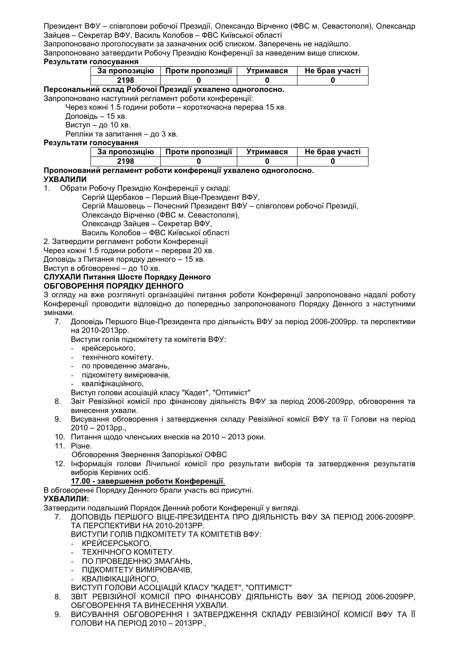Запропоновано проголосувати за зазначених осіб списком. Заперечень не надійшло.

Запропоновано затвердити Робочу Президію Конференції за наведеним вище списком.

#### Результати голосування

| <b>Проти пропозиції</b><br>За пропозицію |  | Утримався | Не брав участі |  |
|------------------------------------------|--|-----------|----------------|--|
| 198؛                                     |  |           |                |  |

## Персональний склад Робочої Президії ухвалено одноголосно.

#### Запропоновано наступний регламент роботи конференції:

Через кожні 1.5 години роботи - короткочасна перерва 15 хв.

Доповідь - 15 хв.

Виступ - до 10 хв.

Репліки та запитання - до 3 хв.

## Результати голосування

| За пропозицію | Проти пропозиції | <b>Утримався</b> | Не брав участі |
|---------------|------------------|------------------|----------------|
| 2198          |                  |                  |                |

# Пропонований регламент роботи конференції ухвалено одноголосно.

## **УХВАЛИЛИ**

 $1<sup>1</sup>$ Обрати Робочу Президію Конференції у складі:

Сергій Щербаков - Перший Віце-Президент ВФУ,

Сергій Машовець - Почесний Президент ВФУ - співголови робочої Президії,

Олександо Вірченко (ФВС м. Севастополя),

Олександр Зайцев - Секретар ВФУ,

Василь Колобов - ФВС Київської області

2. Затвердити регламент роботи Конференції

Через кожні 1.5 години роботи - перерва 20 хв.

Доповідь з Питання порядку денного - 15 хв.

Виступ в обговоренні - до 10 хв.

#### СЛУХАЛИ Питання Шосте Порядку Денного ОБГОВОРЕННЯ ПОРЯДКУ ДЕННОГО

3 огляду на вже розглянуті організаційні питання роботи Конференції запропоновано надалі роботу Конференції проводити відповідно до попередньо запропонованого Порядку Денного з наступними змінами.

7. Доповідь Першого Віце-Президента про діяльність ВФУ за період 2006-2009рр. та перспективи на 2010-2013рр.

Виступи голів підкомітету та комітетів ВФУ:

- крейсерського,
- технічного комітету.
- по проведенню змагань,
- підкомітету вимірювачів,
- кваліфікаційного,
- Виступ голови асоціацій класу "Кадет", "Оптиміст"
- 8. Звіт Ревізійної комісії про фінансову діяльність ВФУ за період 2006-2009рр, обговорення та винесення ухвали.
- 9. Висування обговорення і затвердження складу Ревізійної комісії ВФУ та її Голови на період  $2010 - 2013$ pp.,
- 10. Питання щодо членських внесків на 2010 2013 роки.
- 11. Різне.
	- Обговорення Звернення Запорізької ОФВС
- 12. Інформація голови Лічильної комісії про результати виборів та затвердження результатів виборів Керівних осіб.

## 17.00 - завершення роботи Конференції.

В обговоренні Порядку Денного брали участь всі присутні.

## УХВАЛИЛИ:

Затвердити подальший Порядок Денний роботи Конференції у вигляді.

7. ДОПОВІДЬ ПЕРШОГО ВІЦЕ-ПРЕЗИДЕНТА ПРО ДІЯЛЬНІСТЬ ВФУ ЗА ПЕРІОД 2006-2009РР. ТА ПЕРСПЕКТИВИ НА 2010-2013РР.

ВИСТУПИ ГОЛІВ ПІДКОМІТЕТУ ТА КОМІТЕТІВ ВФУ:

- КРЕЙСЕРСЬКОГО,
- ТЕХНІЧНОГО КОМІТЕТУ.
- ПО ПРОВЕДЕННЮ ЗМАГАНЬ.
- ПІДКОМІТЕТУ ВИМІРЮВАЧІВ,
- КВАЛІФІКАЦІЙНОГО,

ВИСТУП ГОЛОВИ АСОЦІАЦІЙ КЛАСУ "КАДЕТ", "ОПТИМІСТ"

- ЗВІТ РЕВІЗІЙНОЇ КОМІСІЇ ПРО ФІНАНСОВУ ДІЯЛЬНІСТЬ ВФУ ЗА ПЕРІОД 2006-2009РР. 8. ОБГОВОРЕННЯ ТА ВИНЕСЕННЯ УХВАЛИ.
- ВИСУВАННЯ ОБГОВОРЕННЯ І ЗАТВЕРДЖЕННЯ СКЛАДУ РЕВІЗІЙНОЇ КОМІСІЇ ВФУ ТА ЇЇ  $9<sub>1</sub>$ ГОЛОВИ НА ПЕРІОД 2010 - 2013РР.,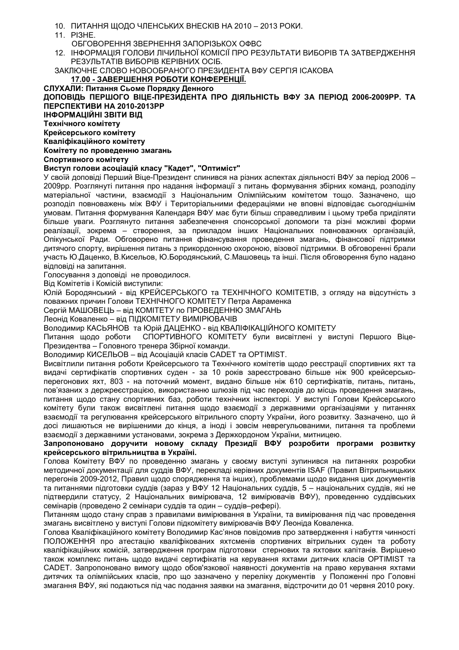- 10. ПИТАННЯ ЩОДО ЧЛЕНСЬКИХ ВНЕСКІВ НА 2010 2013 РОКИ.
- 11. PI3HE.
	- ОБГОВОРЕННЯ ЗВЕРНЕННЯ ЗАПОРІЗЬКОХ ОФВС.
- 12. ІНФОРМАЦІЯ ГОЛОВИ ЛІЧИЛЬНОЇ КОМІСІЇ ПРО РЕЗУЛЬТАТИ ВИБОРІВ ТА ЗАТВЕРДЖЕННЯ РЕЗУЛЬТАТІВ ВИБОРІВ КЕРІВНИХ ОСІБ.

ЗАКЛЮЧНЕ СЛОВО НОВООБРАНОГО ПРЕЗИДЕНТА ВФУ СЕРГІЯ ІСАКОВА

#### 17.00 - ЗАВЕРШЕННЯ РОБОТИ КОНФЕРЕНЦІЇ.

СЛУХАЛИ: Питання Сьоме Порядку Денного ДОПОВІДЬ ПЕРШОГО ВІЦЕ-ПРЕЗИДЕНТА ПРО ДІЯЛЬНІСТЬ ВФУ ЗА ПЕРІОД 2006-2009РР. ТА ПЕРСПЕКТИВИ НА 2010-2013РР

ІНФОРМАЦІЙНІ ЗВІТИ ВІД

Технічного комітету

Крейсерського комітету

Кваліфікаційного комітету

## Комітету по проведенню змагань

#### Спортивного комітету

## Виступ голови асоціацій класу "Кадет", "Оптиміст"

У своїй доповіді Перший Віце-Президент спинився на різних аспектах діяльності ВФУ за період 2006 -2009рр. Розглянуті питання про надання інформації з питань формування збірних команд, розподілу матеріальної частини, взаємодії з Національним Олімпійським комітетом тощо. Зазначено, що розподіл повноважень між ВФУ і Територіальними федераціями не вповні відповідає сьогоднішнім умовам. Питання формування Календаря ВФУ має бути більш справедливим і цьому треба приділяти більше уваги. Розглянуто питання забезпечення спонсорської допомоги та різні можливі форми реалізації, зокрема - створення, за прикладом інших Національних повноважних організацій, Опікунської Ради. Обговорено питання фінансування проведення змагань, фінансової підтримки дитячого спорту, вирішення питань з прикордонною охороною, візової підтримки. В обговоренні брали участь Ю.Даценко, В.Кисельов, Ю.Бородянський, С.Машовець та інші. Після обговорення було надано відповіді на запитання.

Голосування з доповіді не проводилося.

Від Комітетів і Комісій виступили:

Юлій Бородянський - від КРЕЙСЕРСЬКОГО та ТЕХНІЧНОГО КОМІТЕТІВ, з огляду на відсутність з поважних причин Голови ТЕХНІЧНОГО КОМІТЕТУ Петра Авраменка

Сергій МАШОВЕЦЬ – від КОМІТЕТУ по ПРОВЕДЕННЮ ЗМАГАНЬ

Леонід Коваленко - від ПІДКОМІТЕТУ ВИМІРЮВАЧІВ

Володимир КАСЬЯНОВ та Юрій ДАЦЕНКО - від КВАЛІФІКАЦІЙНОГО КОМІТЕТУ

Питання щодо роботи СПОРТИВНОГО КОМІТЕТУ були висвітлені у виступі Першого Віце-Президентва – Головного тренера Збірної команди.

Володимир КИСЕЛЬОВ - від Асоціацій класів CADET та OPTIMIST.

Висвітлили питання роботи Крейсерського та Технічного комітетів щодо реєстрації спортивних яхт та видачі сертифікатів спортивних суден - за 10 років зареєстровано більше ніж 900 крейсерськоперегонових яхт. 803 - на поточний момент, видано більше ніж 610 сертифікатів, питань, питань, пов'язаних з держреєстрацією, використанню шлюзів під час переходів до місць проведення змагань, питання щодо стану спортивних баз, роботи технічних інспекторі. У виступі Голови Крейсерського комітету були також висвітлені питання щодо взаємодії з державними організаціями у питаннях взаємодії та регулювання крейсерського вітрильного спорту України, його розвитку. Зазначено, що й досі лишаються не вирішеними до кінця, а іноді і зовсім неврегульованими, питання та проблеми взаємодії з державними установами, зокрема з Держкордоном України, митницею.

Запропоновано доручити новому складу Президії ВФУ розробити програми розвитку крейсерського вітрильництва в Україні.

Голова Комітету ВФУ по проведенню змагань у своєму виступі зупинився на питаннях розробки методичної документації для суддів ВФУ, перекладі керівних документів ISAF (Правил Вітрильницьких перегонів 2009-2012. Правил щодо спорядження та інших), проблемами щодо видання цих документів та питаннями підготовки суддів (зараз у ВФУ 12 Національних суддів, 5 - національних суддів, які не підтвердили статусу. 2 Національних вимірювача, 12 вимірювачів ВФУ), проведенню суддівських семінарів (проведено 2 семінари суддів та один - суддів-рефері).

Питанням щодо стану справ з правилами вимірювання в України, та вимірювання під час проведення змагань висвітлено у виступі Голови підкомітету вимірювачів ВФУ Леоніда Коваленка.

Голова Кваліфікаційного комітету Володимир Кас'янов повідомив про затвердження і набуття чинності ПОЛОЖЕННЯ про атестацію кваліфікованих яхтсменів спортивних вітрильних суден та роботу кваліфікаційних комісій, затвердження програм підготовки стернових та яхтових капітанів. Вирішено також комплекс питань шодо видачі сертифікатів на керування яхтами дитячих класів OPTIMIST та САDЕТ. Запропоновано вимогу щодо обов'язкової наявності документів на право керування яхтами дитячих та олімпійських класів, про що зазначено у переліку документів у Положенні про Головні змагання ВФУ, які подаються під час подання заявки на змагання, відстрочити до 01 червня 2010 року.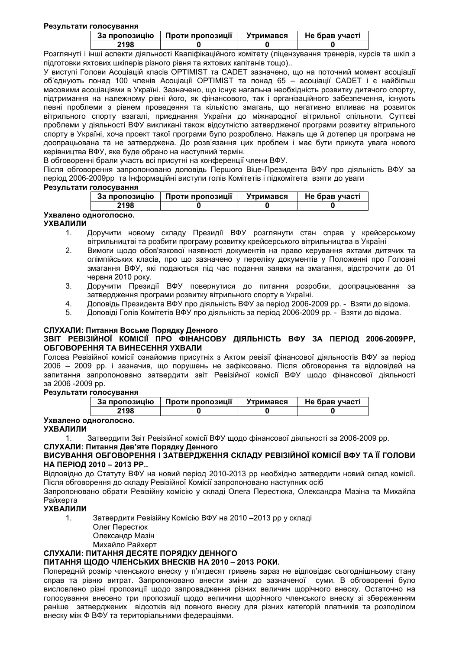#### Результати голосування

| За пропозицію | Проти пропозиції | Утримався | Не брав участі |
|---------------|------------------|-----------|----------------|
| 2198          |                  |           |                |

Розглянуті і інші аспекти діяльності Кваліфікаційного комітету (ліцензування тренерів, курсів та шкіл з підготовки яхтових шкіперів різного рівня та яхтових капітанів тощо)...

У виступі Голови Асоціацій класів ОРТІМІSТ та CADET зазначено, що на поточний момент асоціації об'єднують понад 100 членів Асоціації ОРТІМІSТ та понад 65 - асоціації САDET і є найбільш масовими асоціаціями в Україні. Зазначено, що існує нагальна необхідність розвитку дитячого спорту, підтримання на належному рівні його, як фінансового, так і організаційного забезпечення, існують певні проблеми з рівнем проведення та кількістю змагань, що негативно впливає на розвиток вітрильного спорту взагалі, приєднання України до міжнародної вітрильної спільноти. Суттєві проблеми у діяльності ВФУ викликані також відсутністю затвердженої програми розвитку вітрильного спорту в Україні, хоча проект такої програми було розроблено. Нажаль ще й дотепер ця програма не доопрацьована та не затверджена. До розв'язання цих проблем і має бути прикута увага нового керівництва ВФУ, яке буде обрано на наступний термін.

В обговоренні брали участь всі присутні на конференції члени ВФУ.

Після обговорення запропоновано доповідь Першого Віце-Президента ВФУ про діяльність ВФУ за період 2006-2009рр та Інформаційні виступи голів Комітетів і підкомітета взяти до уваги

#### Результати голосування

| За пропозицію         |      | Проти пропозиції | Утримався | Не брав участі |  |
|-----------------------|------|------------------|-----------|----------------|--|
|                       | 2198 |                  |           |                |  |
| Ухвалено одноголосно. |      |                  |           |                |  |

## **УХВАЛИЛИ**

- Доручити новому складу Президії ВФУ розглянути стан справ у крейсерському  $1<sub>1</sub>$ вітрильництві та розбити програму розвитку крейсерського вітрильництва в Україні
- $2.$ Вимоги щодо обов'язкової наявності документів на право керування яхтами дитячих та олімпійських класів, про що зазначено у переліку документів у Положенні про Головні змагання ВФУ, які подаються під час подання заявки на змагання, відстрочити до 01 червня 2010 року.
- 3. Доручити Президії ВФУ повернутися до питання розробки, доопрацьювання за затвердження програми розвитку вітрильного спорту в Україні.
- 4. Доповідь Президента ВФУ про діяльність ВФУ за період 2006-2009 рр. - Взяти до відома.
- 5. Доповіді Голів Комітетів ВФУ про діяльність за період 2006-2009 рр. - Взяти до відома.

## СЛУХАЛИ: Питання Восьме Порядку Денного

#### ЗВІТ РЕВІЗІЙНОЇ КОМІСІЇ ПРО ФІНАНСОВУ ДІЯЛЬНІСТЬ ВФУ ЗА ПЕРІОД 2006-2009РР, ОБГОВОРЕННЯ ТА ВИНЕСЕННЯ УХВАЛИ

Голова Ревізійної комісії ознайомив присутніх з Актом ревізії фінансової діяльностів ВФУ за період 2006 – 2009 pp. і зазначив, що порушень не зафіксовано. Після обговорення та відповідей на запитання запропоновано затвердити звіт Ревізійної комісії ВФУ щодо фінансової діяльності за 2006 - 2009 pp.

Результати голосування

| За пропозицію | Проти пропозиції | Утримався | Не брав участі |  |
|---------------|------------------|-----------|----------------|--|
| 2198          |                  |           |                |  |

## Ухвалено одноголосно.

**УХВАЛИЛИ** 

Затвердити Звіт Ревізійної комісії ВФУ щодо фінансової діяльності за 2006-2009 рр.  $\mathbf{1}$ 

## СЛУХАЛИ: Питання Дев'яте Порядку Денного

#### ВИСУВАННЯ ОБГОВОРЕННЯ І ЗАТВЕРДЖЕННЯ СКЛАДУ РЕВІЗІЙНОЇ КОМІСІЇ ВФУ ТА ЇЇ ГОЛОВИ НА ПЕРІОД 2010 - 2013 РР.

Відповідно до Статуту ВФУ на новий період 2010-2013 рр необхідно затвердити новий склад комісії. Після обговорення до складу Ревізійної Комісії запропоновано наступних осіб

Запропоновано обрати Ревізійну комісію у складі Олега Перестюка, Олександра Мазіна та Михайла Райхерта

## **УХВАЛИЛИ**

- $1<sub>1</sub>$ Затвердити Ревізійну Комісію ВФУ на 2010 - 2013 рр у складі
	- Олег Перестюк
	- Олександр Мазін
	- Михайло Райхерт

## СЛУХАЛИ: ПИТАННЯ ДЕСЯТЕ ПОРЯДКУ ДЕННОГО

## ПИТАННЯ ЩОДО ЧЛЕНСЬКИХ ВНЕСКІВ НА 2010 - 2013 РОКИ.

Попередній розмір членського внеску у п'ятдесят гривень зараз не відповідає сьогоднішньому стану справ та рівню витрат. Запропоновано внести зміни до зазначеної суми. В обговоренні було висловлено різні пропозиції шодо запровадження різних величин шорічного внеску. Остаточно на голосування внесено три пропозиції шодо величини шорічного членського внеску зі збереженням раніше затверджених відсотків від повного внеску для різних категорій платників та розподілом внеску між Ф ВФУ та територіальними федераціями.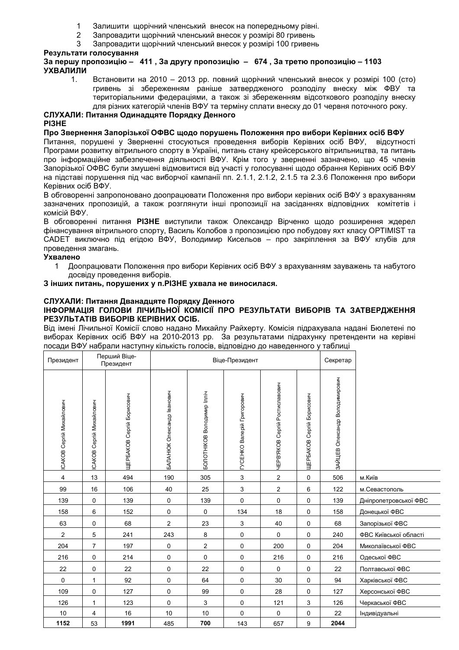- 1 Залишити щорічний членський внесок на попередньому рівні.
- 2 Запровадити щорічний членський внесок у розмірі 80 гривень
- 3 Запровадити щорічний членський внесок у розмірі 100 гривень

## **Результати голосування**

## **453 448K – 411 , 363 448K – 674 , K 448K – 1103 УХВАЛИЛИ**

1. Встановити на 2010 – 2013 рр. повний щорічний членський внесок у розмірі 100 (сто) гривень зі збереженням раніше затвердженого розподілу внеску між ФВУ та територіальними федераціями, а також зі збереженням відсоткового розподілу внеску для різних категорій членів ВФУ та терміну сплати внеску до 01 червня поточного року.

## $C$ ЛУХАЛИ: Питання Одинадцяте Порядку Денного **PI3HE**

## Про Звернення Запорізької ОФВС щодо порушень Положення про вибори Керівних осіб ВФУ

Питання, порушені у Зверненні стосуються проведення виборів Керівних осіб ВФУ, відсутності Програми розвитку вітрильного спорту в Україні, питань стану крейсерського вітрильництва, та питань про інформаційне забезпечення діяльності ВФУ. Крім того у зверненні зазначено, що 45 членів Запорізької ОФВС були змушені відмовитися від участі у голосуванні щодо обрання Керівних осіб ВФУ на підставі порушення під час виборчої кампанії пп. 2.1.1, 2.1.2, 2.1.5 та 2.3.6 Положення про вибори Керівних осіб ВФУ.

В обговоренні запропоновано доопрацювати Положення про вибори керівних осіб ВФУ з врахуванням зазначених пропозицій, а також розглянути інші пропозиції на засіданнях відповідних комітетів і комісій ВФУ.

В обговоренні питання РІЗНЕ виступили також Олександр Вірченко щодо розширення ждерел фінансування вітрильного спорту, Василь Колобов з пропозицією про побудову яхт класу OPTIMIST та САDET виключно під егідою ВФУ, Володимир Кисельов – про закріплення за ВФУ клубів для проведення змагань.

## **J'**

1 ПА Доопрацювати Положення про вибори Керівних осіб ВФУ з врахуванням зауважень та набутого досвіду проведення виборів.

## $3$  інших питань, порушених у п. РІЗНЕ ухвала не виносилася.

#### СЛУХАЛИ: Питання Дванадцяте Порядку Денного ІНФОРМАЦІЯ ГОЛОВИ ЛІЧИЛЬНОЇ КОМІСІЇ ПРО РЕЗУЛЬТАТИ ВИБОРІВ ТА ЗАТВЕРДЖЕННЯ **РЕЗУЛЬТАТІВ ВИБОРІВ КЕРІВНИХ ОСІБ.**

Від імені Лічильної Комісії слово надано Михайлу Райхерту. Комісія підрахувала надані Бюлетені по виборах Керівних осіб ВФУ на 2010-2013 рр. За результатами підрахунку претенденти на керівні посади ВФУ набрали наступну кількість голосів, відповідно до наведенного у таблиці

| Президент                      | Перший Віце-<br>Президент  |                                  |                            | Віце-Президент             |                            |                                | Секретар                  |                                |                       |
|--------------------------------|----------------------------|----------------------------------|----------------------------|----------------------------|----------------------------|--------------------------------|---------------------------|--------------------------------|-----------------------|
| <b>CAKOB Cepriй Михайлович</b> | Сергій Михайлович<br>CAKOB | <b>ЦЕРБАКОВ Сергій Борисович</b> | БАЛАНЮК Олександр Іванович | БОЛОТНІКОВ Володимир Ілліч | ГУСЕНКО Валерій Григорович | ЧЕРВ'ЯКОВ Сергій Ростиславович | ЩЕРБАКОВ Сергій Борисович | ЗАЙЦЕВ Олександр Володимирович |                       |
| $\overline{4}$                 | 13                         | 494                              | 190                        | 305                        | 3                          | $\overline{2}$                 | $\mathbf 0$               | 506                            | м.Київ                |
| 99                             | 16                         | 106                              | 40                         | 25                         | 3                          | $\overline{2}$                 | 6                         | 122                            | м. Севастополь        |
| 139                            | 0                          | 139                              | 0                          | 139                        | 0                          | 0                              | 0                         | 139                            | Дніпропетровської ФВС |
| 158                            | 6                          | 152                              | 0                          | $\mathbf 0$                | 134                        | 18                             | 0                         | 158                            | Донецької ФВС         |
| 63                             | 0                          | 68                               | $\overline{2}$             | 23                         | 3                          | 40                             | 0                         | 68                             | Запорізької ФВС       |
| $\overline{2}$                 | 5                          | 241                              | 243                        | 8                          | 0                          | $\Omega$                       | $\mathbf 0$               | 240                            | ФВС Київської області |
| 204                            | $\overline{7}$             | 197                              | 0                          | $\overline{2}$             | 0                          | 200                            | 0                         | 204                            | Миколаївської ФВС     |
| 216                            | 0                          | 214                              | 0                          | 0                          | 0                          | 216                            | $\mathbf 0$               | 216                            | Одеської ФВС          |
| 22                             | 0                          | 22                               | 0                          | 22                         | 0                          | $\Omega$                       | 0                         | 22                             | Полтавської ФВС       |
| $\mathbf 0$                    | $\mathbf{1}$               | 92                               | 0                          | 64                         | 0                          | 30                             | $\mathsf{O}\xspace$       | 94                             | Харківської ФВС       |
| 109                            | 0                          | 127                              | 0                          | 99                         | $\mathbf 0$                | 28                             | 0                         | 127                            | Херсонської ФВС       |
| 126                            | $\mathbf{1}$               | 123                              | $\mathbf 0$                | 3                          | 0                          | 121                            | 3                         | 126                            | Черкаської ФВС        |
| 10                             | 4                          | 16                               | 10                         | 10                         | $\mathbf 0$                | 0                              | 0                         | 22                             | Індивідуальні         |
| 1152                           | 53                         | 1991                             | 485                        | 700                        | 143                        | 657                            | 9                         | 2044                           |                       |